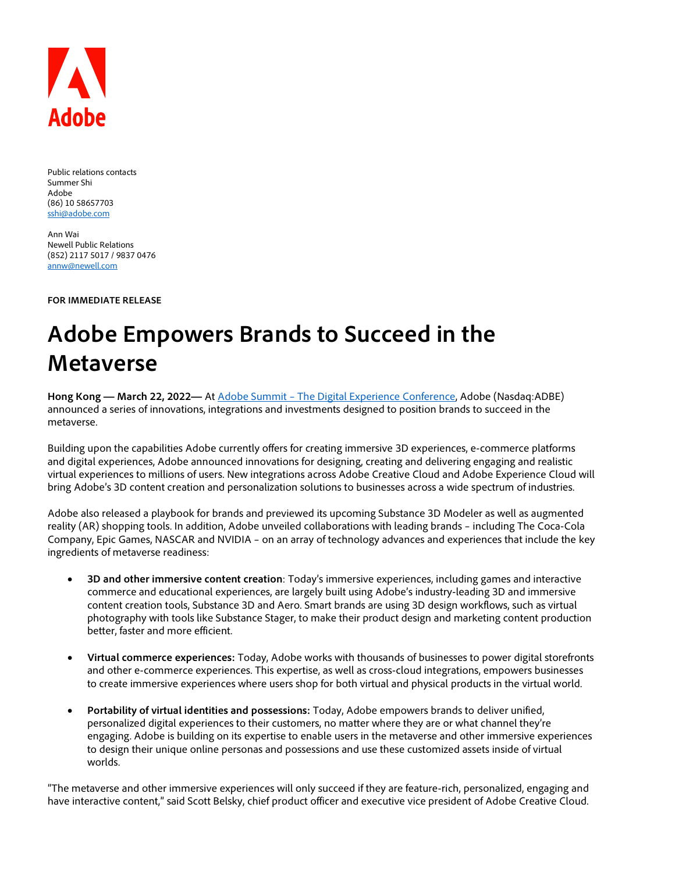

Public relations contacts Summer Shi Adobe (86) 10 58657703 [sshi@adobe.com](mailto:sshi@adobe.com)

Ann Wai Newell Public Relations (852) 2117 5017 / 9837 0476 [annw@newell.com](mailto:annw@newell.com)

**FOR IMMEDIATE RELEASE**

# **Adobe Empowers Brands to Succeed in the Metaverse**

**Hong Kong — March 22, 2022—** At Adobe Summit – [The Digital Experience Conference,](https://cts.businesswire.com/ct/CT?id=smartlink&url=https%3A%2F%2Fsummit.adobe.com%2Fna%2F&esheet=52596568&newsitemid=20220315005551&lan=en-US&anchor=Adobe+Summit+%26%238211%3B+The+Digital+Experience+Conference&index=1&md5=d26726eeab38da61ef5b3e02c78c3ed1) Adobe (Nasdaq:ADBE) announced a series of innovations, integrations and investments designed to position brands to succeed in the metaverse.

Building upon the capabilities Adobe currently offers for creating immersive 3D experiences, e-commerce platforms and digital experiences, Adobe announced innovations for designing, creating and delivering engaging and realistic virtual experiences to millions of users. New integrations across Adobe Creative Cloud and Adobe Experience Cloud will bring Adobe's 3D content creation and personalization solutions to businesses across a wide spectrum of industries.

Adobe also released a playbook for brands and previewed its upcoming Substance 3D Modeler as well as augmented reality (AR) shopping tools. In addition, Adobe unveiled collaborations with leading brands – including The Coca-Cola Company, Epic Games, NASCAR and NVIDIA – on an array of technology advances and experiences that include the key ingredients of metaverse readiness:

- **3D and other immersive content creation**: Today's immersive experiences, including games and interactive commerce and educational experiences, are largely built using Adobe's industry-leading 3D and immersive content creation tools, Substance 3D and Aero. Smart brands are using 3D design workflows, such as virtual photography with tools like Substance Stager, to make their product design and marketing content production better, faster and more efficient.
- **Virtual commerce experiences:** Today, Adobe works with thousands of businesses to power digital storefronts and other e-commerce experiences. This expertise, as well as cross-cloud integrations, empowers businesses to create immersive experiences where users shop for both virtual and physical products in the virtual world.
- **Portability of virtual identities and possessions:** Today, Adobe empowers brands to deliver unified, personalized digital experiences to their customers, no matter where they are or what channel they're engaging. Adobe is building on its expertise to enable users in the metaverse and other immersive experiences to design their unique online personas and possessions and use these customized assets inside of virtual worlds.

"The metaverse and other immersive experiences will only succeed if they are feature-rich, personalized, engaging and have interactive content," said Scott Belsky, chief product officer and executive vice president of Adobe Creative Cloud.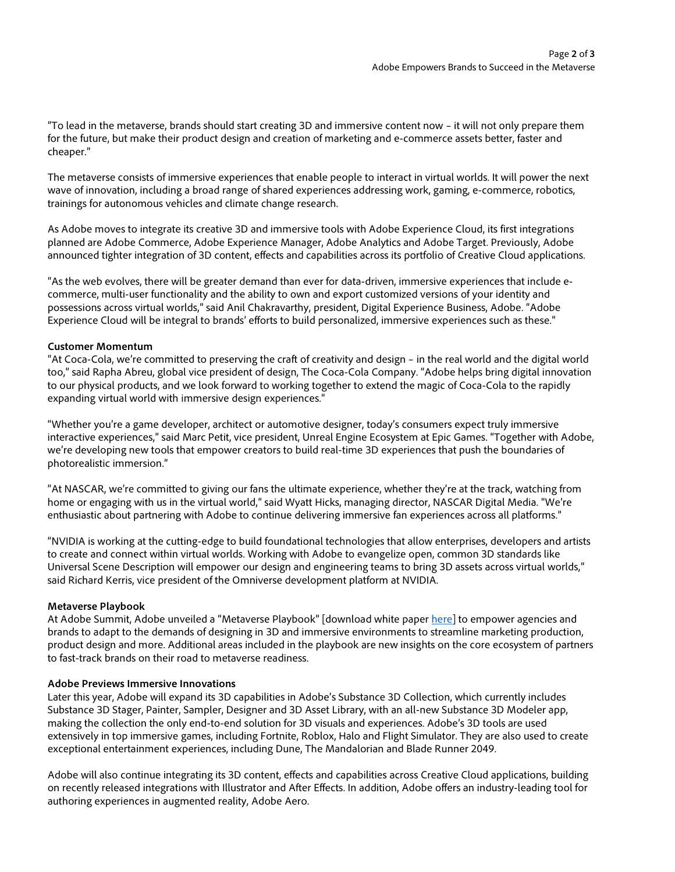"To lead in the metaverse, brands should start creating 3D and immersive content now – it will not only prepare them for the future, but make their product design and creation of marketing and e-commerce assets better, faster and cheaper."

The metaverse consists of immersive experiences that enable people to interact in virtual worlds. It will power the next wave of innovation, including a broad range of shared experiences addressing work, gaming, e-commerce, robotics, trainings for autonomous vehicles and climate change research.

As Adobe moves to integrate its creative 3D and immersive tools with Adobe Experience Cloud, its first integrations planned are Adobe Commerce, Adobe Experience Manager, Adobe Analytics and Adobe Target. Previously, Adobe announced tighter integration of 3D content, effects and capabilities across its portfolio of Creative Cloud applications.

"As the web evolves, there will be greater demand than ever for data-driven, immersive experiences that include ecommerce, multi-user functionality and the ability to own and export customized versions of your identity and possessions across virtual worlds," said Anil Chakravarthy, president, Digital Experience Business, Adobe. "Adobe Experience Cloud will be integral to brands' efforts to build personalized, immersive experiences such as these."

## **Customer Momentum**

"At Coca-Cola, we're committed to preserving the craft of creativity and design – in the real world and the digital world too," said Rapha Abreu, global vice president of design, The Coca-Cola Company. "Adobe helps bring digital innovation to our physical products, and we look forward to working together to extend the magic of Coca-Cola to the rapidly expanding virtual world with immersive design experiences."

"Whether you're a game developer, architect or automotive designer, today's consumers expect truly immersive interactive experiences," said Marc Petit, vice president, Unreal Engine Ecosystem at Epic Games. "Together with Adobe, we're developing new tools that empower creators to build real-time 3D experiences that push the boundaries of photorealistic immersion."

"At NASCAR, we're committed to giving our fans the ultimate experience, whether they're at the track, watching from home or engaging with us in the virtual world," said Wyatt Hicks, managing director, NASCAR Digital Media. "We're enthusiastic about partnering with Adobe to continue delivering immersive fan experiences across all platforms."

"NVIDIA is working at the cutting-edge to build foundational technologies that allow enterprises, developers and artists to create and connect within virtual worlds. Working with Adobe to evangelize open, common 3D standards like Universal Scene Description will empower our design and engineering teams to bring 3D assets across virtual worlds," said Richard Kerris, vice president of the Omniverse development platform at NVIDIA.

## **Metaverse Playbook**

At Adobe Summit, Adobe unveiled a "Metaverse Playbook" [download white paper [here\]](http://www.adobe.com/metaverse.html) to empower agencies and brands to adapt to the demands of designing in 3D and immersive environments to streamline marketing production, product design and more. Additional areas included in the playbook are new insights on the core ecosystem of partners to fast-track brands on their road to metaverse readiness.

## **Adobe Previews Immersive Innovations**

Later this year, Adobe will expand its 3D capabilities in Adobe's Substance 3D Collection, which currently includes Substance 3D Stager, Painter, Sampler, Designer and 3D Asset Library, with an all-new Substance 3D Modeler app, making the collection the only end-to-end solution for 3D visuals and experiences. Adobe's 3D tools are used extensively in top immersive games, including Fortnite, Roblox, Halo and Flight Simulator. They are also used to create exceptional entertainment experiences, including Dune, The Mandalorian and Blade Runner 2049.

Adobe will also continue integrating its 3D content, effects and capabilities across Creative Cloud applications, building on recently released integrations with Illustrator and After Effects. In addition, Adobe offers an industry-leading tool for authoring experiences in augmented reality, Adobe Aero.